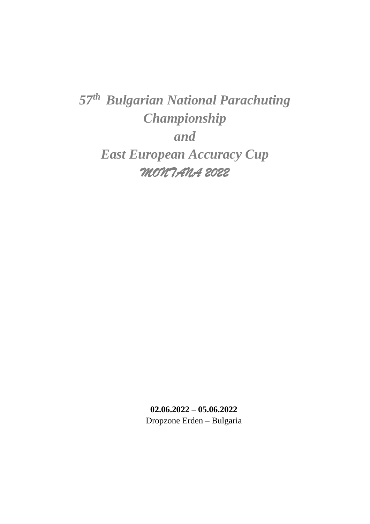*57 th Bulgarian National Parachuting Championship and East European Accuracy Cup MONTANA 2022*

> **02.06.2022 – 05.06.2022** Dropzone Erden – Bulgaria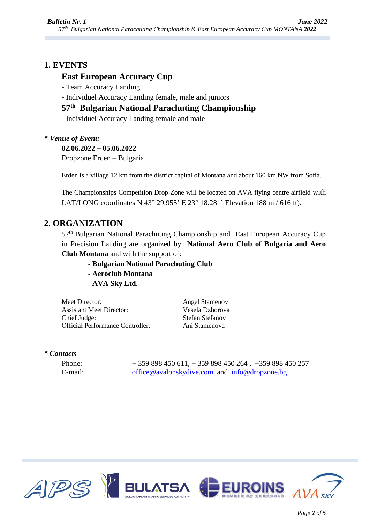## **1. EVENTS**

### **East European Accuracy Cup**

- Team Accuracy Landing

- Individuel Accuracy Landing female, male and juniors

## **57 th Bulgarian National Parachuting Championship**

- Individuel Accuracy Landing female and male

### *\* Venue of Event:*

**02.06.2022 – 05.06.2022**

Dropzone Erden – Bulgaria

Erden is a village 12 km from the district capital of Montana and about 160 km NW from Sofia.

The Championships Competition Drop Zone will be located on AVA flying centre airfield with LAT/LONG coordinates N 43 $^{\circ}$  29.955' E 23 $^{\circ}$  18.281' Elevation 188 m / 616 ft).

## **2. ORGANIZATION**

57<sup>th</sup> Bulgarian National Parachuting Championship and East European Accuracy Cup in Precision Landing are organized by **National Aero Club of Bulgaria and Aero Club Montana** and with the support of:

- **- Bulgarian National Parachuting Club**
- **- Aeroclub Montana**
- **- AVA Sky Ltd.**

Meet Director: Angel Stamenov Assistant Meet Director: Vesela Dzhorova Chief Judge: Stefan Stefanov Official Performance Controller: Ani Stamenova

#### *\* Contacts*

Phone: + 359 898 450 611, + 359 898 450 264 , +359 898 450 257 E-mail: [office@avalonskydive.com](mailto:office@avalonskydive.com) and [info@dropzone.bg](mailto:info@dropzone.bg)



*Page 2 of 5*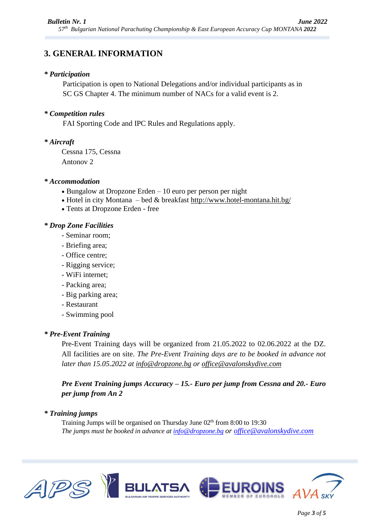# **3. GENERAL INFORMATION**

### *\* Participation*

Participation is open to National Delegations and/or individual participants as in SC GS Chapter 4. The minimum number of NACs for a valid event is 2.

### *\* Competition rules*

FAI Sporting Code and IPC Rules and Regulations apply.

#### *\* Aircraft*

Cessna 175, Cessna Antonov 2

#### *\* Accommodation*

- $\bullet$  Bungalow at Dropzone Erden 10 euro per person per night
- Hotel in city Montana bed & breakfast <http://www.hotel-montana.hit.bg/>
- Tents at Dropzone Erden free

### *\* Drop Zone Facilities*

- Seminar room;
- Briefing area;
- Office centre;
- Rigging service;
- WiFi internet;
- Packing area;
- Big parking area;
- Restaurant
- Swimming pool

### *\* Pre-Event Training*

Pre-Event Training days will be organized from 21.05.2022 to 02.06.2022 at the DZ. All facilities are on site. *The Pre-Event Training days are to be booked in advance not later than 15.05.2022 at [info@dropzone.bg](mailto:info@dropzone.bg) or [office@avalonskydive.com](mailto:office@avalonskydive.com)*

*Pre Event Training jumps Accuracy – 15.- Euro per jump from Cessna and 20.- Euro per jump from An 2*

#### *\* Training jumps*

Training Jumps will be organised on Thursday June 02<sup>th</sup> from 8:00 to 19:30 *The jumps must be booked in advance at [info@dropzone.bg](mailto:info@dropzone.bg) or [office@avalonskydive.com](mailto:office@avalonskydive.com)*

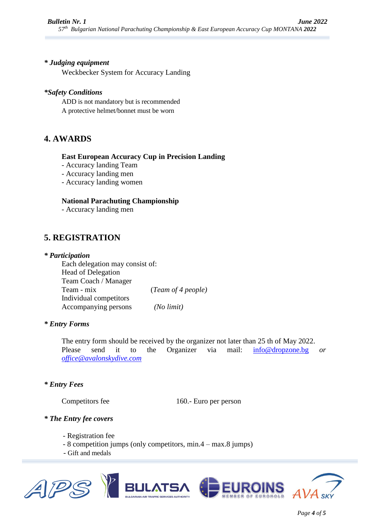#### *\* Judging equipment*

Weckbecker System for Accuracy Landing

### *\*Safety Conditions*

ADD is not mandatory but is recommended A protective helmet/bonnet must be worn

## **4. AWARDS**

#### **East European Accuracy Cup in Precision Landing**

- Accuracy landing Team
- Accuracy landing men
- Accuracy landing women

#### **National Parachuting Championship**

- Accuracy landing men

## **5. REGISTRATION**

#### *\* Participation*

Each delegation may consist of: Head of Delegation Team Coach / Manager Team - mix (*Team of 4 people)* Individual competitors Accompanying persons *(No limit)*

### *\* Entry Forms*

The entry form should be received by the organizer not later than 25 th of May 2022. Please send it to the Organizer via mail: [info@dropzone.bg](mailto:info@dropzone.bg) *or [office@avalonskydive.com](mailto:office@avalonskydive.com)*

#### *\* Entry Fees*

Competitors fee 160.- Euro per person

#### *\* The Entry fee covers*

- Registration fee
- 8 competition jumps (only competitors, min.4 max.8 jumps)
- Gift and medals